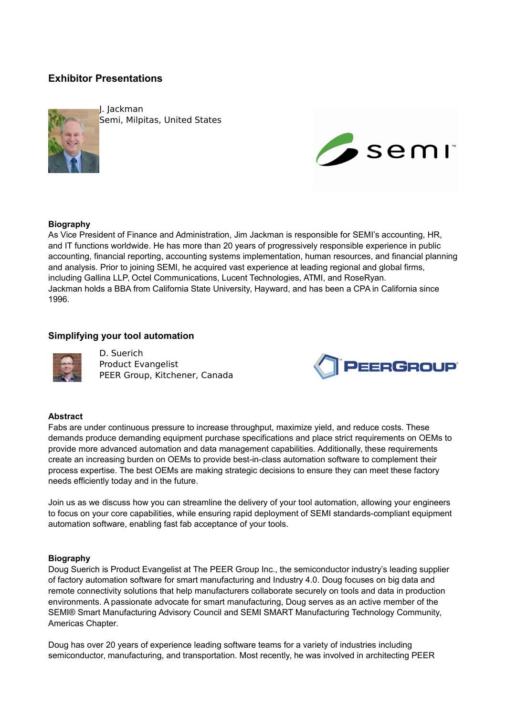# **Exhibitor Presentations**



J. Jackman Semi, Milpitas, United States



#### **Biography**

As Vice President of Finance and Administration, Jim Jackman is responsible for SEMI's accounting, HR, and IT functions worldwide. He has more than 20 years of progressively responsible experience in public accounting, financial reporting, accounting systems implementation, human resources, and financial planning and analysis. Prior to joining SEMI, he acquired vast experience at leading regional and global firms, including Gallina LLP, Octel Communications, Lucent Technologies, ATMI, and RoseRyan. Jackman holds a BBA from California State University, Hayward, and has been a CPA in California since 1996.

#### **Simplifying your tool automation**



D. Suerich Product Evangelist PEER Group, Kitchener, Canada



### **Abstract**

Fabs are under continuous pressure to increase throughput, maximize yield, and reduce costs. These demands produce demanding equipment purchase specifications and place strict requirements on OEMs to provide more advanced automation and data management capabilities. Additionally, these requirements create an increasing burden on OEMs to provide best-in-class automation software to complement their process expertise. The best OEMs are making strategic decisions to ensure they can meet these factory needs efficiently today and in the future.

Join us as we discuss how you can streamline the delivery of your tool automation, allowing your engineers to focus on your core capabilities, while ensuring rapid deployment of SEMI standards-compliant equipment automation software, enabling fast fab acceptance of your tools.

#### **Biography**

Doug Suerich is Product Evangelist at The PEER Group Inc., the semiconductor industry's leading supplier of factory automation software for smart manufacturing and Industry 4.0. Doug focuses on big data and remote connectivity solutions that help manufacturers collaborate securely on tools and data in production environments. A passionate advocate for smart manufacturing, Doug serves as an active member of the SEMI® Smart Manufacturing Advisory Council and SEMI SMART Manufacturing Technology Community, Americas Chapter.

Doug has over 20 years of experience leading software teams for a variety of industries including semiconductor, manufacturing, and transportation. Most recently, he was involved in architecting PEER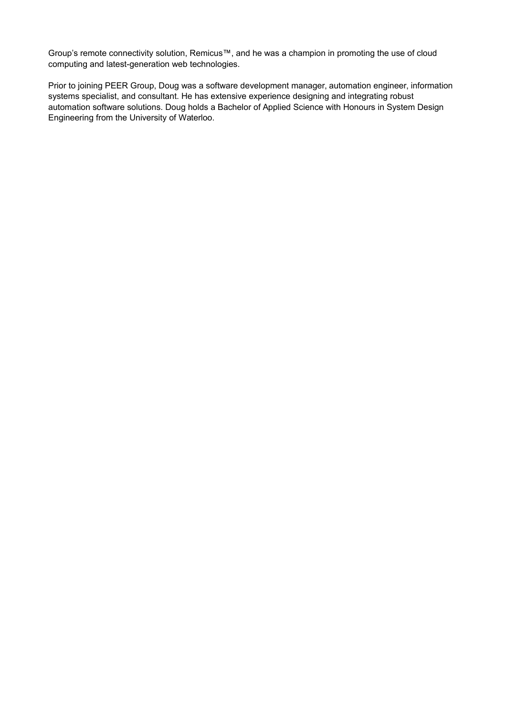Group's remote connectivity solution, Remicus™, and he was a champion in promoting the use of cloud computing and latest-generation web technologies.

Prior to joining PEER Group, Doug was a software development manager, automation engineer, information systems specialist, and consultant. He has extensive experience designing and integrating robust automation software solutions. Doug holds a Bachelor of Applied Science with Honours in System Design Engineering from the University of Waterloo.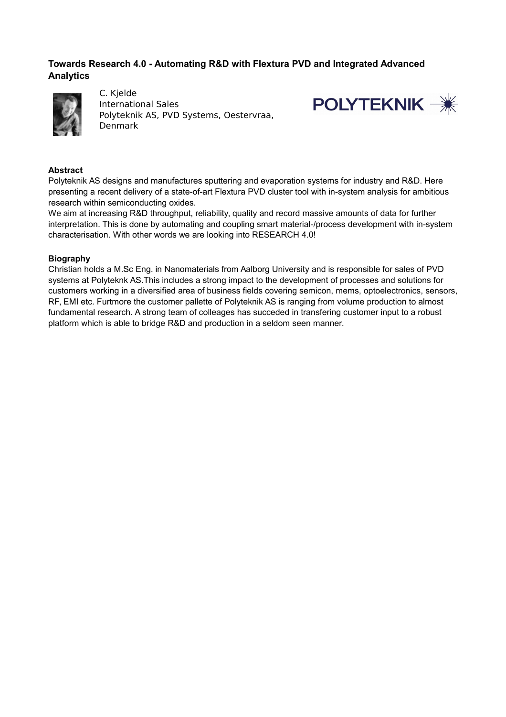## **Towards Research 4.0 - Automating R&D with Flextura PVD and Integrated Advanced Analytics**



C. Kjelde International Sales Polyteknik AS, PVD Systems, Oestervraa, Denmark



## **Abstract**

Polyteknik AS designs and manufactures sputtering and evaporation systems for industry and R&D. Here presenting a recent delivery of a state-of-art Flextura PVD cluster tool with in-system analysis for ambitious research within semiconducting oxides.

We aim at increasing R&D throughput, reliability, quality and record massive amounts of data for further interpretation. This is done by automating and coupling smart material-/process development with in-system characterisation. With other words we are looking into RESEARCH 4.0!

## **Biography**

Christian holds a M.Sc Eng. in Nanomaterials from Aalborg University and is responsible for sales of PVD systems at Polyteknk AS.This includes a strong impact to the development of processes and solutions for customers working in a diversified area of business fields covering semicon, mems, optoelectronics, sensors, RF, EMI etc. Furtmore the customer pallette of Polyteknik AS is ranging from volume production to almost fundamental research. A strong team of colleages has succeded in transfering customer input to a robust platform which is able to bridge R&D and production in a seldom seen manner.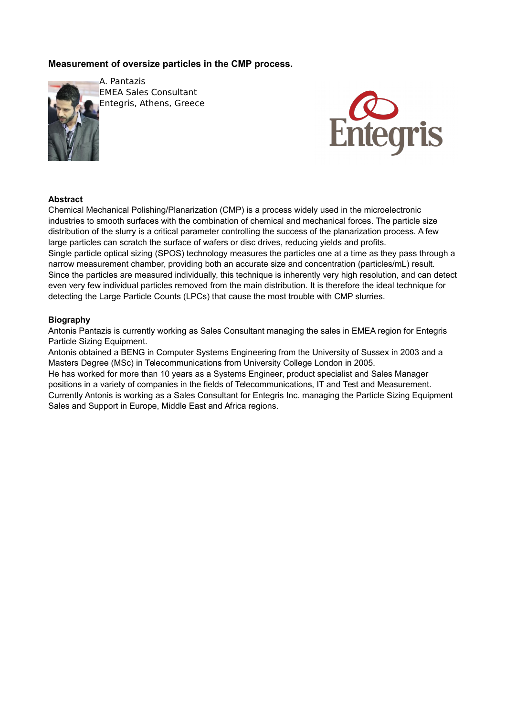## **Measurement of oversize particles in the CMP process.**



A. Pantazis EMEA Sales Consultant Entegris, Athens, Greece



### **Abstract**

Chemical Mechanical Polishing/Planarization (CMP) is a process widely used in the microelectronic industries to smooth surfaces with the combination of chemical and mechanical forces. The particle size distribution of the slurry is a critical parameter controlling the success of the planarization process. A few large particles can scratch the surface of wafers or disc drives, reducing yields and profits. Single particle optical sizing (SPOS) technology measures the particles one at a time as they pass through a narrow measurement chamber, providing both an accurate size and concentration (particles/mL) result. Since the particles are measured individually, this technique is inherently very high resolution, and can detect even very few individual particles removed from the main distribution. It is therefore the ideal technique for detecting the Large Particle Counts (LPCs) that cause the most trouble with CMP slurries.

### **Biography**

Antonis Pantazis is currently working as Sales Consultant managing the sales in EMEA region for Entegris Particle Sizing Equipment.

Antonis obtained a BENG in Computer Systems Engineering from the University of Sussex in 2003 and a Masters Degree (MSc) in Telecommunications from University College London in 2005. He has worked for more than 10 years as a Systems Engineer, product specialist and Sales Manager positions in a variety of companies in the fields of Telecommunications, IT and Test and Measurement. Currently Antonis is working as a Sales Consultant for Entegris Inc. managing the Particle Sizing Equipment Sales and Support in Europe, Middle East and Africa regions.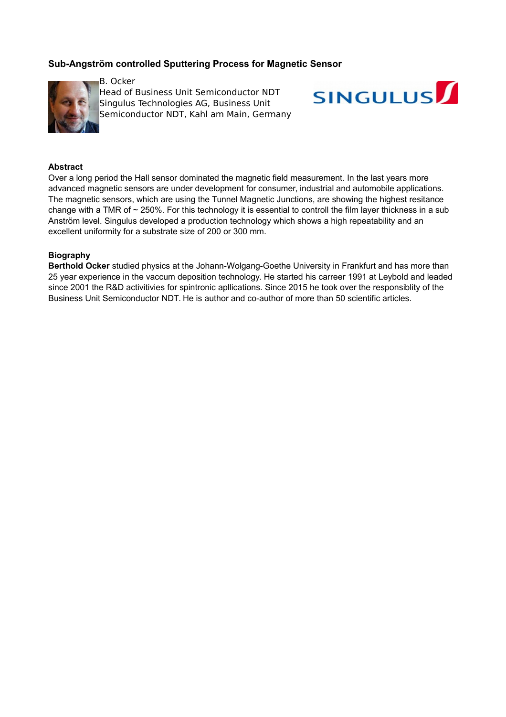## **Sub-Angström controlled Sputtering Process for Magnetic Sensor**



B. Ocker Head of Business Unit Semiconductor NDT Singulus Technologies AG, Business Unit Semiconductor NDT, Kahl am Main, Germany



#### **Abstract**

Over a long period the Hall sensor dominated the magnetic field measurement. In the last years more advanced magnetic sensors are under development for consumer, industrial and automobile applications. The magnetic sensors, which are using the Tunnel Magnetic Junctions, are showing the highest resitance change with a TMR of ~ 250%. For this technology it is essential to controll the film layer thickness in a sub Anström level. Singulus developed a production technology which shows a high repeatability and an excellent uniformity for a substrate size of 200 or 300 mm.

### **Biography**

**Berthold Ocker** studied physics at the Johann-Wolgang-Goethe University in Frankfurt and has more than 25 year experience in the vaccum deposition technology. He started his carreer 1991 at Leybold and leaded since 2001 the R&D activitivies for spintronic apllications. Since 2015 he took over the responsiblity of the Business Unit Semiconductor NDT. He is author and co-author of more than 50 scientific articles.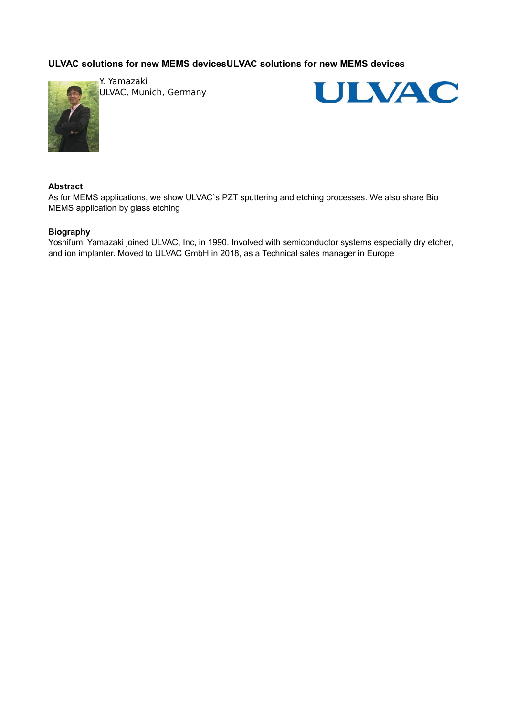# **ULVAC solutions for new MEMS devicesULVAC solutions for new MEMS devices**



Y. Yamazaki ULVAC, Munich, Germany



#### **Abstract**

As for MEMS applications, we show ULVAC`s PZT sputtering and etching processes. We also share Bio MEMS application by glass etching

#### **Biography**

Yoshifumi Yamazaki joined ULVAC, Inc, in 1990. Involved with semiconductor systems especially dry etcher, and ion implanter. Moved to ULVAC GmbH in 2018, as a Technical sales manager in Europe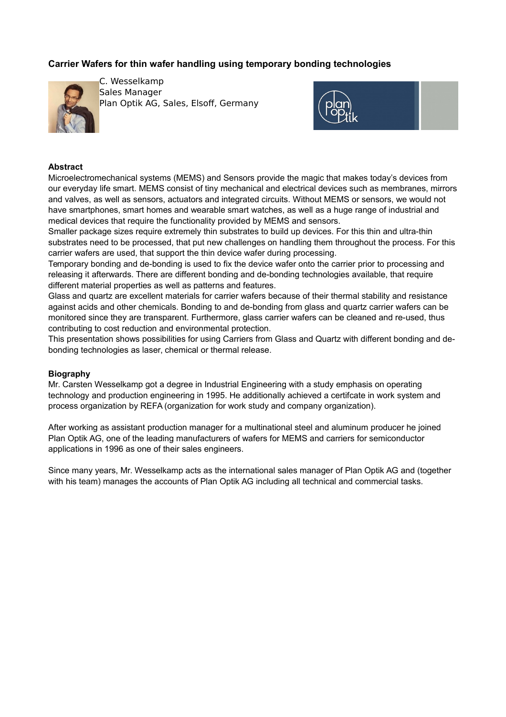## **Carrier Wafers for thin wafer handling using temporary bonding technologies**



C. Wesselkamp Sales Manager Plan Optik AG, Sales, Elsoff, Germany



#### **Abstract**

Microelectromechanical systems (MEMS) and Sensors provide the magic that makes today's devices from our everyday life smart. MEMS consist of tiny mechanical and electrical devices such as membranes, mirrors and valves, as well as sensors, actuators and integrated circuits. Without MEMS or sensors, we would not have smartphones, smart homes and wearable smart watches, as well as a huge range of industrial and medical devices that require the functionality provided by MEMS and sensors.

Smaller package sizes require extremely thin substrates to build up devices. For this thin and ultra-thin substrates need to be processed, that put new challenges on handling them throughout the process. For this carrier wafers are used, that support the thin device wafer during processing.

Temporary bonding and de-bonding is used to fix the device wafer onto the carrier prior to processing and releasing it afterwards. There are different bonding and de-bonding technologies available, that require different material properties as well as patterns and features.

Glass and quartz are excellent materials for carrier wafers because of their thermal stability and resistance against acids and other chemicals. Bonding to and de-bonding from glass and quartz carrier wafers can be monitored since they are transparent. Furthermore, glass carrier wafers can be cleaned and re-used, thus contributing to cost reduction and environmental protection.

This presentation shows possibilities for using Carriers from Glass and Quartz with different bonding and debonding technologies as laser, chemical or thermal release.

#### **Biography**

Mr. Carsten Wesselkamp got a degree in Industrial Engineering with a study emphasis on operating technology and production engineering in 1995. He additionally achieved a certifcate in work system and process organization by REFA (organization for work study and company organization).

After working as assistant production manager for a multinational steel and aluminum producer he joined Plan Optik AG, one of the leading manufacturers of wafers for MEMS and carriers for semiconductor applications in 1996 as one of their sales engineers.

Since many years, Mr. Wesselkamp acts as the international sales manager of Plan Optik AG and (together with his team) manages the accounts of Plan Optik AG including all technical and commercial tasks.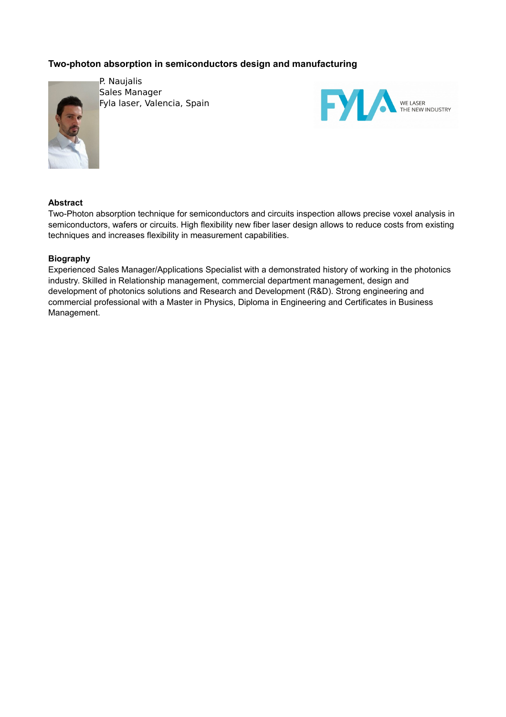# **Two-photon absorption in semiconductors design and manufacturing**



P. Naujalis Sales Manager Fyla laser, Valencia, Spain



### **Abstract**

Two-Photon absorption technique for semiconductors and circuits inspection allows precise voxel analysis in semiconductors, wafers or circuits. High flexibility new fiber laser design allows to reduce costs from existing techniques and increases flexibility in measurement capabilities.

### **Biography**

Experienced Sales Manager/Applications Specialist with a demonstrated history of working in the photonics industry. Skilled in Relationship management, commercial department management, design and development of photonics solutions and Research and Development (R&D). Strong engineering and commercial professional with a Master in Physics, Diploma in Engineering and Certificates in Business Management.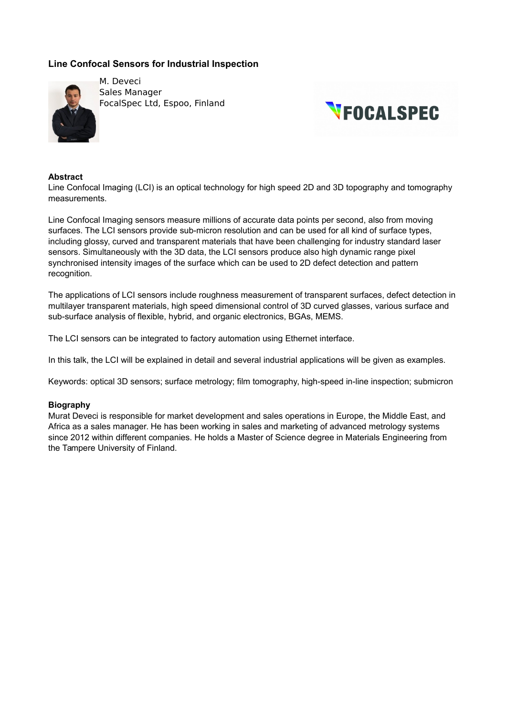## **Line Confocal Sensors for Industrial Inspection**



M. Deveci Sales Manager FocalSpec Ltd, Espoo, Finland



#### **Abstract**

Line Confocal Imaging (LCI) is an optical technology for high speed 2D and 3D topography and tomography measurements.

Line Confocal Imaging sensors measure millions of accurate data points per second, also from moving surfaces. The LCI sensors provide sub-micron resolution and can be used for all kind of surface types, including glossy, curved and transparent materials that have been challenging for industry standard laser sensors. Simultaneously with the 3D data, the LCI sensors produce also high dynamic range pixel synchronised intensity images of the surface which can be used to 2D defect detection and pattern recognition.

The applications of LCI sensors include roughness measurement of transparent surfaces, defect detection in multilayer transparent materials, high speed dimensional control of 3D curved glasses, various surface and sub-surface analysis of flexible, hybrid, and organic electronics, BGAs, MEMS.

The LCI sensors can be integrated to factory automation using Ethernet interface.

In this talk, the LCI will be explained in detail and several industrial applications will be given as examples.

Keywords: optical 3D sensors; surface metrology; film tomography, high-speed in-line inspection; submicron

#### **Biography**

Murat Deveci is responsible for market development and sales operations in Europe, the Middle East, and Africa as a sales manager. He has been working in sales and marketing of advanced metrology systems since 2012 within different companies. He holds a Master of Science degree in Materials Engineering from the Tampere University of Finland.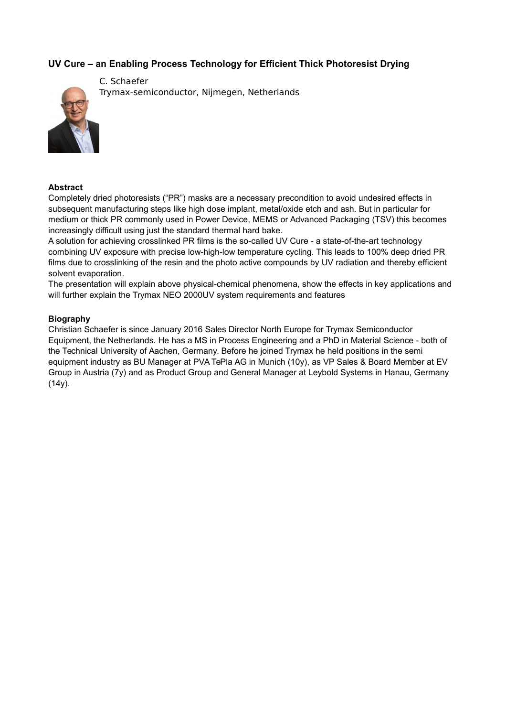## **UV Cure – an Enabling Process Technology for Efficient Thick Photoresist Drying**



C. Schaefer Trymax-semiconductor, Nijmegen, Netherlands

#### **Abstract**

Completely dried photoresists ("PR") masks are a necessary precondition to avoid undesired effects in subsequent manufacturing steps like high dose implant, metal/oxide etch and ash. But in particular for medium or thick PR commonly used in Power Device, MEMS or Advanced Packaging (TSV) this becomes increasingly difficult using just the standard thermal hard bake.

A solution for achieving crosslinked PR films is the so-called UV Cure - a state-of-the-art technology combining UV exposure with precise low-high-low temperature cycling. This leads to 100% deep dried PR films due to crosslinking of the resin and the photo active compounds by UV radiation and thereby efficient solvent evaporation.

The presentation will explain above physical-chemical phenomena, show the effects in key applications and will further explain the Trymax NEO 2000UV system requirements and features

#### **Biography**

Christian Schaefer is since January 2016 Sales Director North Europe for Trymax Semiconductor Equipment, the Netherlands. He has a MS in Process Engineering and a PhD in Material Science - both of the Technical University of Aachen, Germany. Before he joined Trymax he held positions in the semi equipment industry as BU Manager at PVA TePla AG in Munich (10y), as VP Sales & Board Member at EV Group in Austria (7y) and as Product Group and General Manager at Leybold Systems in Hanau, Germany  $(14y)$ .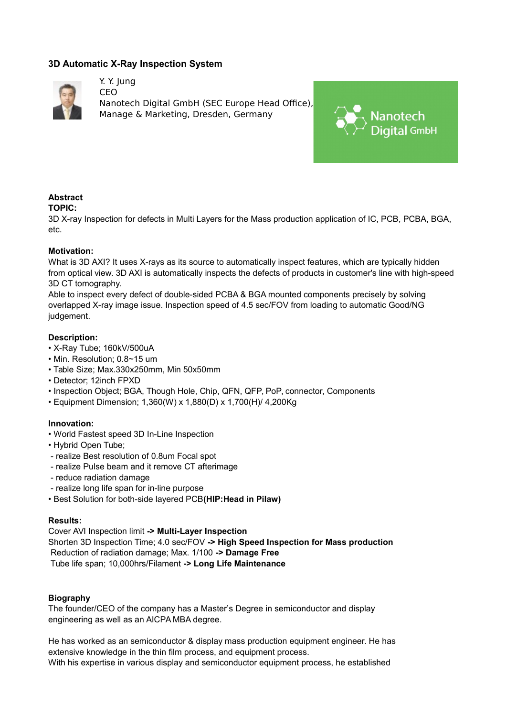## **3D Automatic X-Ray Inspection System**

Y. Y. Jung



CEO Nanotech Digital GmbH (SEC Europe Head Office), Manage & Marketing, Dresden, Germany



# **Abstract**

### **TOPIC:**

3D X-ray Inspection for defects in Multi Layers for the Mass production application of IC, PCB, PCBA, BGA, etc.

### **Motivation:**

What is 3D AXI? It uses X-rays as its source to automatically inspect features, which are typically hidden from optical view. 3D AXI is automatically inspects the defects of products in customer's line with high-speed 3D CT tomography.

Able to inspect every defect of double-sided PCBA & BGA mounted components precisely by solving overlapped X-ray image issue. Inspection speed of 4.5 sec/FOV from loading to automatic Good/NG judgement.

### **Description:**

- X-Ray Tube; 160kV/500uA
- Min. Resolution; 0.8~15 um
- Table Size; Max.330x250mm, Min 50x50mm
- Detector; 12inch FPXD
- Inspection Object; BGA, Though Hole, Chip, QFN, QFP, PoP, connector, Components
- Equipment Dimension; 1,360(W) x 1,880(D) x 1,700(H)/ 4,200Kg

## **Innovation:**

- World Fastest speed 3D In-Line Inspection
- Hybrid Open Tube;
- realize Best resolution of 0.8um Focal spot
- realize Pulse beam and it remove CT afterimage
- reduce radiation damage
- realize long life span for in-line purpose
- Best Solution for both-side layered PCB**(HIP:Head in Pilaw)**

#### **Results:**

Cover AVI Inspection limit **-> Multi-Layer Inspection** Shorten 3D Inspection Time; 4.0 sec/FOV **-> High Speed Inspection for Mass production** Reduction of radiation damage; Max. 1/100 **-> Damage Free** Tube life span; 10,000hrs/Filament **-> Long Life Maintenance**

### **Biography**

The founder/CEO of the company has a Master's Degree in semiconductor and display engineering as well as an AICPA MBA degree.

He has worked as an semiconductor & display mass production equipment engineer. He has extensive knowledge in the thin film process, and equipment process. With his expertise in various display and semiconductor equipment process, he established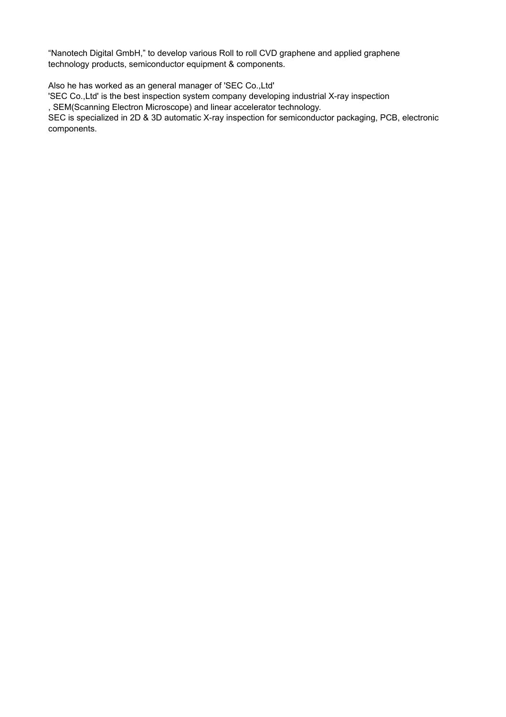"Nanotech Digital GmbH," to develop various Roll to roll CVD graphene and applied graphene technology products, semiconductor equipment & components.

Also he has worked as an general manager of 'SEC Co.,Ltd' 'SEC Co.,Ltd' is the best inspection system company developing industrial X-ray inspection , SEM(Scanning Electron Microscope) and linear accelerator technology.

SEC is specialized in 2D & 3D automatic X-ray inspection for semiconductor packaging, PCB, electronic components.